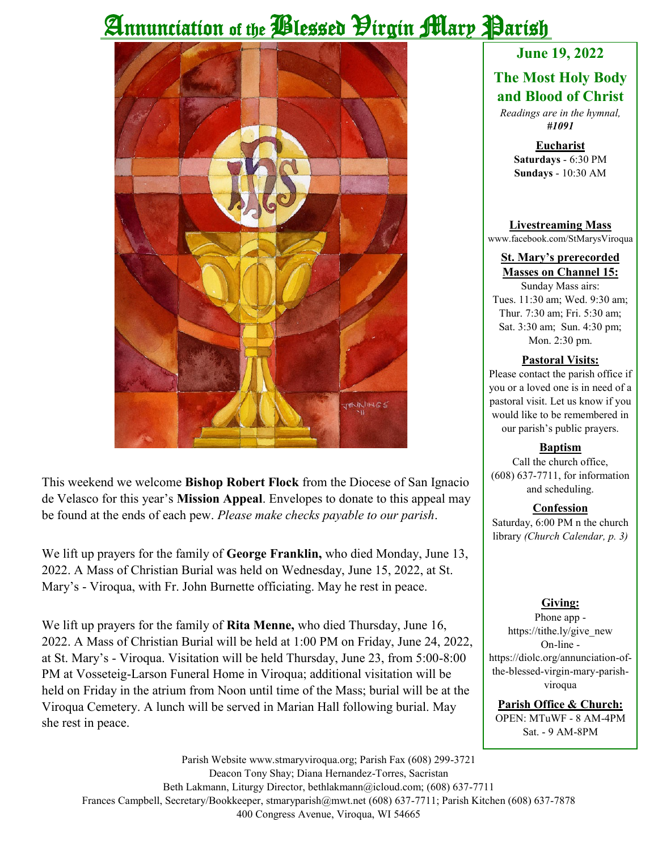# Annunciation of the *Plessed Hirgin Mary Parish*



This weekend we welcome **Bishop Robert Flock** from the Diocese of San Ignacio de Velasco for this year's **Mission Appeal**. Envelopes to donate to this appeal may be found at the ends of each pew. *Please make checks payable to our parish*.

We lift up prayers for the family of **George Franklin,** who died Monday, June 13, 2022. A Mass of Christian Burial was held on Wednesday, June 15, 2022, at St. Mary's - Viroqua, with Fr. John Burnette officiating. May he rest in peace.

We lift up prayers for the family of **Rita Menne,** who died Thursday, June 16, 2022. A Mass of Christian Burial will be held at 1:00 PM on Friday, June 24, 2022, at St. Mary's - Viroqua. Visitation will be held Thursday, June 23, from 5:00-8:00 PM at Vosseteig-Larson Funeral Home in Viroqua; additional visitation will be held on Friday in the atrium from Noon until time of the Mass; burial will be at the Viroqua Cemetery. A lunch will be served in Marian Hall following burial. May she rest in peace.

### **June 19, 2022**

#### **The Most Holy Body and Blood of Christ**

*Readings are in the hymnal, #1091*

> **Eucharist Saturdays** - 6:30 PM **Sundays** - 10:30 AM

**Livestreaming Mass** www.facebook.com/StMarysViroqua

#### **St. Mary's prerecorded Masses on Channel 15:**

Sunday Mass airs: Tues. 11:30 am; Wed. 9:30 am; Thur. 7:30 am; Fri. 5:30 am; Sat. 3:30 am; Sun. 4:30 pm; Mon. 2:30 pm.

#### **Pastoral Visits:**

Please contact the parish office if you or a loved one is in need of a pastoral visit. Let us know if you would like to be remembered in our parish's public prayers.

#### **Baptism**

Call the church office, (608) 637-7711, for information and scheduling.

#### **Confession**

Saturday, 6:00 PM n the church library *(Church Calendar, p. 3)*

#### **Giving:**

Phone app https://tithe.ly/give\_new On-line https://diolc.org/annunciation-ofthe-blessed-virgin-mary-parishviroqua

**Parish Office & Church:** OPEN: MTuWF - 8 AM-4PM Sat. - 9 AM-8PM

Parish Website www.stmaryviroqua.org; Parish Fax (608) 299-3721 Deacon Tony Shay; Diana Hernandez-Torres, Sacristan Beth Lakmann, Liturgy Director, bethlakmann@icloud.com; (608) 637-7711 Frances Campbell, Secretary/Bookkeeper, stmaryparish@mwt.net (608) 637-7711; Parish Kitchen (608) 637-7878 400 Congress Avenue, Viroqua, WI 54665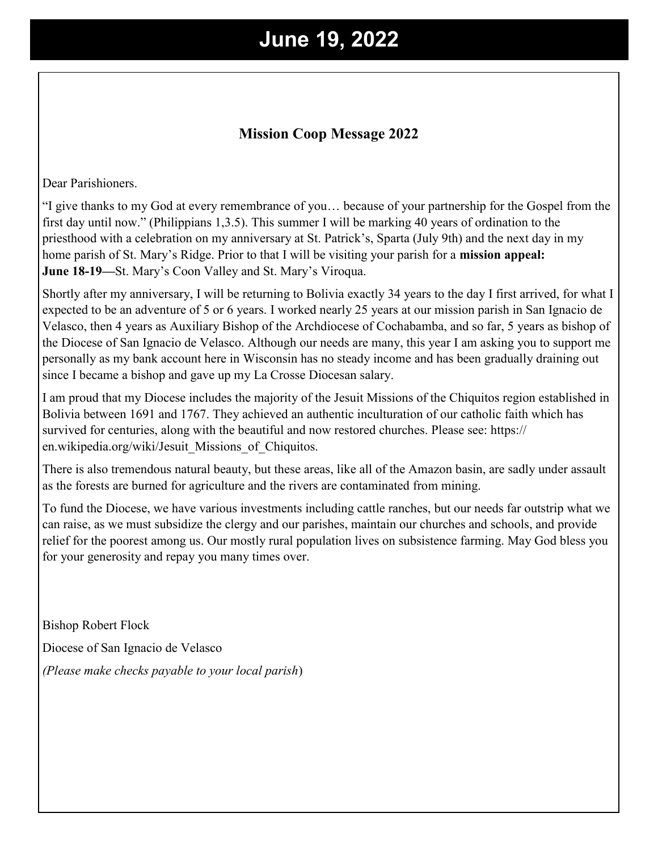## **June 19, 2022**

#### **Mission Coop Message 2022**

Dear Parishioners.

"I give thanks to my God at every remembrance of you… because of your partnership for the Gospel from the first day until now." (Philippians 1,3.5). This summer I will be marking 40 years of ordination to the priesthood with a celebration on my anniversary at St. Patrick's, Sparta (July 9th) and the next day in my home parish of St. Mary's Ridge. Prior to that I will be visiting your parish for a **mission appeal: June 18-19—**St. Mary's Coon Valley and St. Mary's Viroqua.

Shortly after my anniversary, I will be returning to Bolivia exactly 34 years to the day I first arrived, for what I expected to be an adventure of 5 or 6 years. I worked nearly 25 years at our mission parish in San Ignacio de Velasco, then 4 years as Auxiliary Bishop of the Archdiocese of Cochabamba, and so far, 5 years as bishop of the Diocese of San Ignacio de Velasco. Although our needs are many, this year I am asking you to support me personally as my bank account here in Wisconsin has no steady income and has been gradually draining out since I became a bishop and gave up my La Crosse Diocesan salary.

I am proud that my Diocese includes the majority of the Jesuit Missions of the Chiquitos region established in Bolivia between 1691 and 1767. They achieved an authentic inculturation of our catholic faith which has survived for centuries, along with the beautiful and now restored churches. Please see: https:// en.wikipedia.org/wiki/Jesuit\_Missions\_of\_Chiquitos.

There is also tremendous natural beauty, but these areas, like all of the Amazon basin, are sadly under assault as the forests are burned for agriculture and the rivers are contaminated from mining.

To fund the Diocese, we have various investments including cattle ranches, but our needs far outstrip what we can raise, as we must subsidize the clergy and our parishes, maintain our churches and schools, and provide relief for the poorest among us. Our mostly rural population lives on subsistence farming. May God bless you for your generosity and repay you many times over.

Bishop Robert Flock Diocese of San Ignacio de Velasco *(Please make checks payable to your local parish*)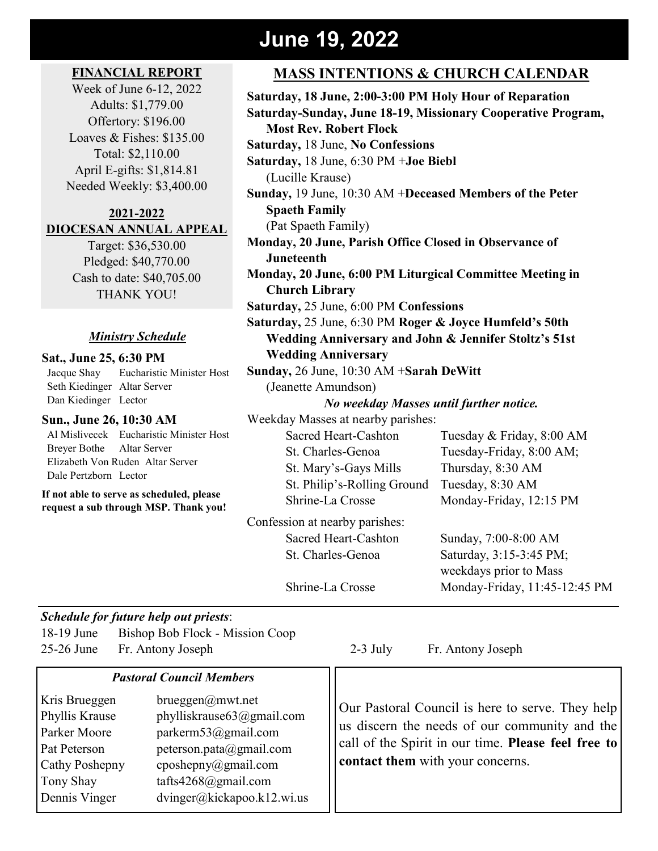## **June 19, 2022**

#### **FINANCIAL REPORT**

Week of June 6-12, 2022 Adults: \$1,779.00 Offertory: \$196.00 Loaves & Fishes: \$135.00 Total: \$2,110.00 April E-gifts: \$1,814.81 Needed Weekly: \$3,400.00

#### **2021-2022 DIOCESAN ANNUAL APPEAL**

Target: \$36,530.00 Pledged: \$40,770.00 Cash to date: \$40,705.00 THANK YOU!

#### *Ministry Schedule*

#### **Sat., June 25, 6:30 PM**

 Jacque Shay Eucharistic Minister Host Seth Kiedinger Altar Server Dan Kiedinger Lector

#### **Sun., June 26, 10:30 AM**

 Al Mislivecek Eucharistic Minister Host Breyer Bothe Altar Server Elizabeth Von Ruden Altar Server Dale Pertzborn Lector

**If not able to serve as scheduled, please request a sub through MSP. Thank you!**

#### **MASS INTENTIONS & CHURCH CALENDAR**

**Saturday, 18 June, 2:00-3:00 PM Holy Hour of Reparation Saturday-Sunday, June 18-19, Missionary Cooperative Program, Most Rev. Robert Flock Saturday,** 18 June, **No Confessions Saturday,** 18 June, 6:30 PM +**Joe Biebl** (Lucille Krause) **Sunday,** 19 June, 10:30 AM +**Deceased Members of the Peter Spaeth Family** (Pat Spaeth Family) **Monday, 20 June, Parish Office Closed in Observance of Juneteenth Monday, 20 June, 6:00 PM Liturgical Committee Meeting in Church Library Saturday,** 25 June, 6:00 PM **Confessions Saturday,** 25 June, 6:30 PM **Roger & Joyce Humfeld's 50th Wedding Anniversary and John & Jennifer Stoltz's 51st Wedding Anniversary Sunday,** 26 June, 10:30 AM +**Sarah DeWitt** (Jeanette Amundson) *No weekday Masses until further notice.* Weekday Masses at nearby parishes:

St. Mary's-Gays Mills Thursday, 8:30 AM St. Philip's-Rolling Ground Tuesday, 8:30 AM

Sacred Heart-Cashton Tuesday & Friday, 8:00 AM St. Charles-Genoa Tuesday-Friday, 8:00 AM; Shrine-La Crosse Monday-Friday, 12:15 PM

Sacred Heart-Cashton Sunday, 7:00-8:00 AM St. Charles-Genoa Saturday, 3:15-3:45 PM; weekdays prior to Mass Shrine-La Crosse Monday-Friday, 11:45-12:45 PM

Confession at nearby parishes:

#### *Schedule for future help out priests*:

18-19 June Bishop Bob Flock - Mission Coop 25-26 June Fr. Antony Joseph 2-3 July Fr. Antony Joseph

#### *Pastoral Council Members*

Kris Brueggen brueggen@mwt.net Phyllis Krause phylliskrause63@gmail.com Parker Moore parkerm53@gmail.com Pat Peterson peterson.pata@gmail.com Cathy Poshepny cposhepny@gmail.com Tony Shay tafts4268@gmail.com Dennis Vinger dvinger@kickapoo.k12.wi.us

Our Pastoral Council is here to serve. They help us discern the needs of our community and the call of the Spirit in our time. **Please feel free to contact them** with your concerns.